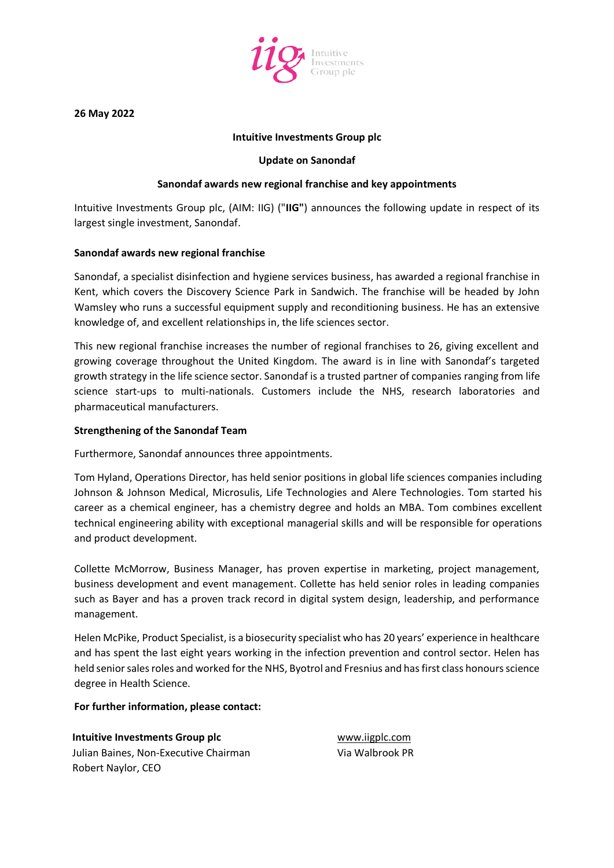

**26 May 2022**

### **Intuitive Investments Group plc**

#### **Update on Sanondaf**

### **Sanondaf awards new regional franchise and key appointments**

Intuitive Investments Group plc, (AIM: IIG) ("**IIG"**) announces the following update in respect of its largest single investment, Sanondaf.

#### **Sanondaf awards new regional franchise**

Sanondaf, a specialist disinfection and hygiene services business, has awarded a regional franchise in Kent, which covers the Discovery Science Park in Sandwich. The franchise will be headed by John Wamsley who runs a successful equipment supply and reconditioning business. He has an extensive knowledge of, and excellent relationships in, the life sciences sector.

This new regional franchise increases the number of regional franchises to 26, giving excellent and growing coverage throughout the United Kingdom. The award is in line with Sanondaf's targeted growth strategy in the life science sector. Sanondaf is a trusted partner of companies ranging from life science start-ups to multi-nationals. Customers include the NHS, research laboratories and pharmaceutical manufacturers.

#### **Strengthening of the Sanondaf Team**

Furthermore, Sanondaf announces three appointments.

Tom Hyland, Operations Director, has held senior positions in global life sciences companies including Johnson & Johnson Medical, Microsulis, Life Technologies and Alere Technologies. Tom started his career as a chemical engineer, has a chemistry degree and holds an MBA. Tom combines excellent technical engineering ability with exceptional managerial skills and will be responsible for operations and product development.

Collette McMorrow, Business Manager, has proven expertise in marketing, project management, business development and event management. Collette has held senior roles in leading companies such as Bayer and has a proven track record in digital system design, leadership, and performance management.

Helen McPike, Product Specialist, is a biosecurity specialist who has 20 years' experience in healthcare and has spent the last eight years working in the infection prevention and control sector. Helen has held senior sales roles and worked for the NHS, Byotrol and Fresnius and has first class honours science degree in Health Science.

#### **For further information, please contact:**

**Intuitive Investments Group plc** [www.iigplc.com](http://www.iigplc.com/) Julian Baines, Non-Executive Chairman Robert Naylor, CEO

Via Walbrook PR